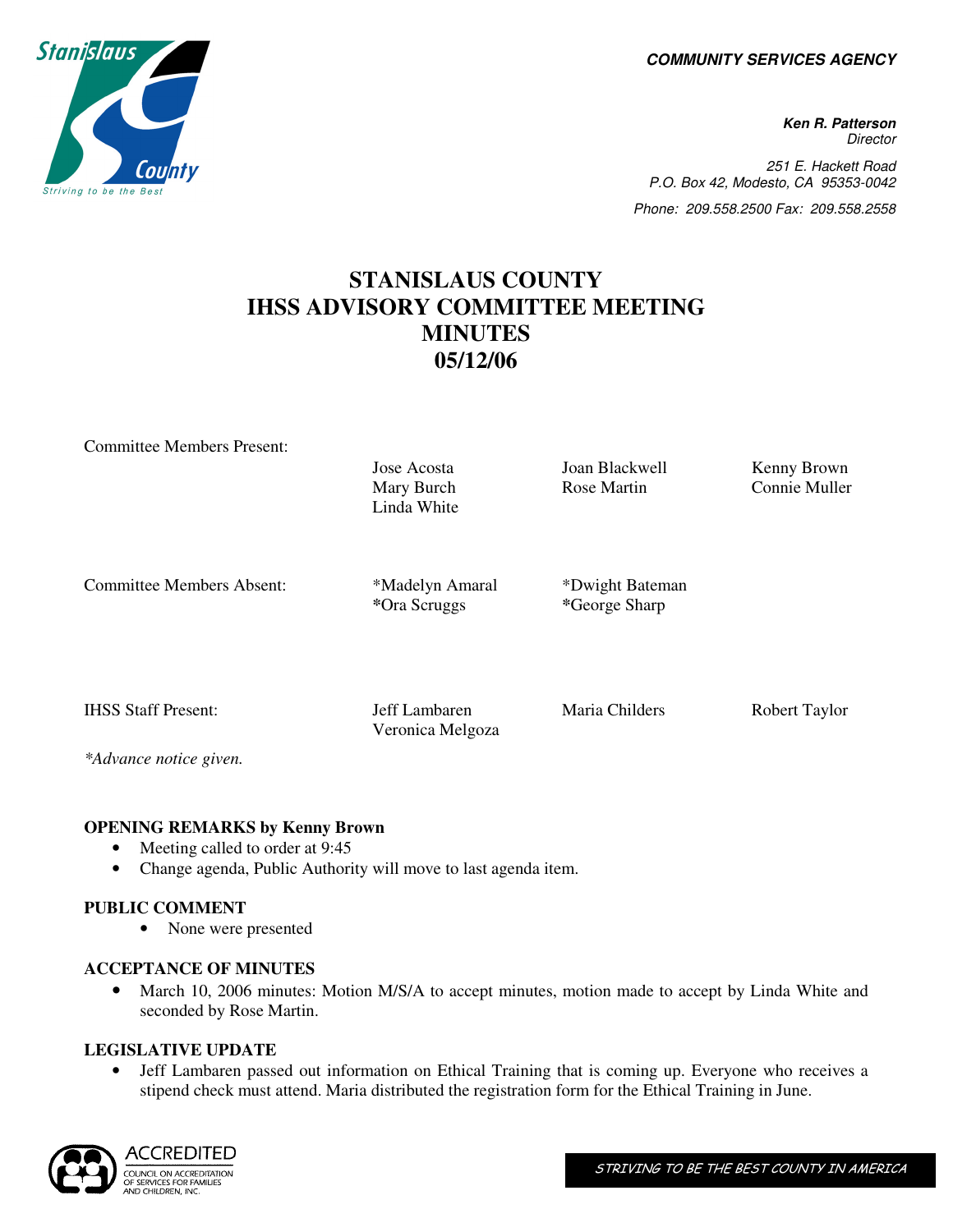**COMMUNITY SERVICES AGENCY** 

**Ken R. Patterson Director** 251 E. Hackett Road P.O. Box 42, Modesto, CA 95353-0042 Phone: 209.558.2500 Fax: 209.558.2558

# **STANISLAUS COUNTY IHSS ADVISORY COMMITTEE MEETING MINUTES 05/12/06**

Committee Members Present:

Mary Burch Linda White

Jose Acosta Joan Blackwell Kenny Brown Rose Martin Connie Muller

Committee Members Absent: \*Madelyn Amaral

*\**Ora Scruggs

Veronica Melgoza

\*Dwight Bateman *\**George Sharp

IHSS Staff Present: Jeff Lambaren Maria Childers Robert Taylor

*\*Advance notice given.* 

## **OPENING REMARKS by Kenny Brown**

- Meeting called to order at 9:45
- Change agenda, Public Authority will move to last agenda item.

#### **PUBLIC COMMENT**

• None were presented

#### **ACCEPTANCE OF MINUTES**

• March 10, 2006 minutes: Motion M/S/A to accept minutes, motion made to accept by Linda White and seconded by Rose Martin.

#### **LEGISLATIVE UPDATE**

• Jeff Lambaren passed out information on Ethical Training that is coming up. Everyone who receives a stipend check must attend. Maria distributed the registration form for the Ethical Training in June.